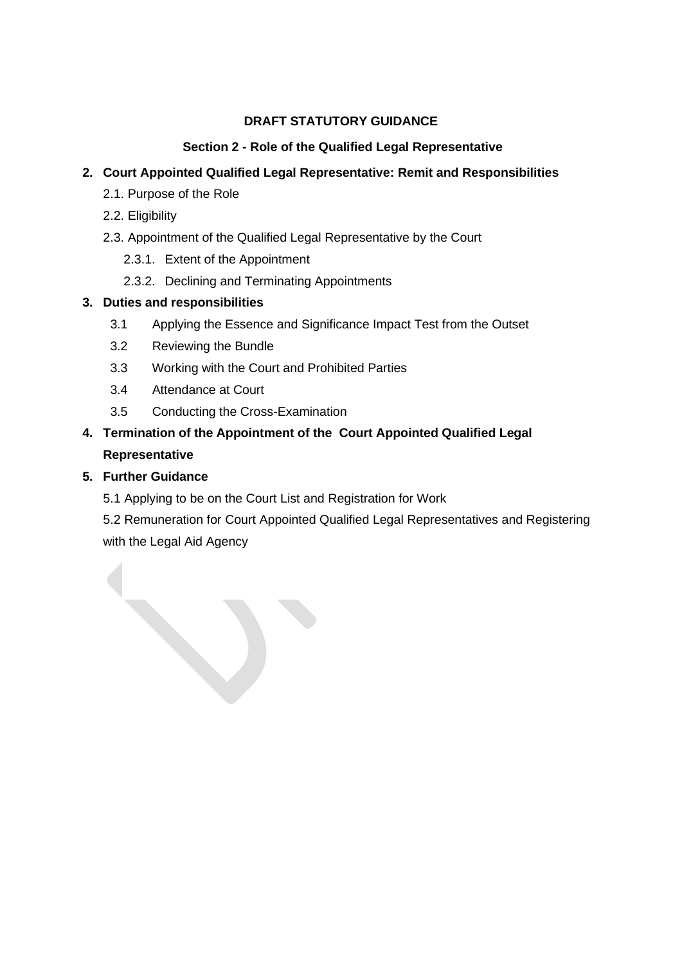### **DRAFT STATUTORY GUIDANCE**

### **Section 2 - Role of the Qualified Legal Representative**

# **2. Court Appointed Qualified Legal Representative: Remit and Responsibilities**

- 2.1. Purpose of the Role
- 2.2. Eligibility
- 2.3. Appointment of the Qualified Legal Representative by the Court
	- 2.3.1. Extent of the Appointment
	- 2.3.2. Declining and Terminating Appointments

### **3. Duties and responsibilities**

- 3.1 Applying the Essence and Significance Impact Test from the Outset
- 3.2 Reviewing the Bundle
- 3.3 Working with the Court and Prohibited Parties
- 3.4 Attendance at Court
- 3.5 Conducting the Cross-Examination

# **4. Termination of the Appointment of the Court Appointed Qualified Legal Representative**

## **5. Further Guidance**

5.1 Applying to be on the Court List and Registration for Work

5.2 Remuneration for Court Appointed Qualified Legal Representatives and Registering with the Legal Aid Agency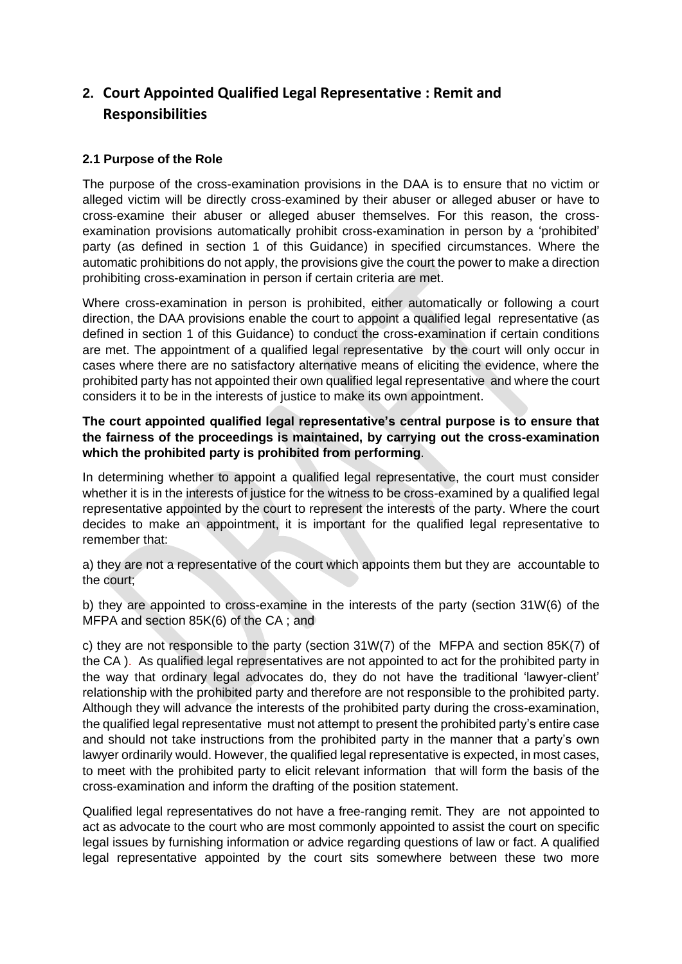# **2. Court Appointed Qualified Legal Representative : Remit and Responsibilities**

#### **2.1 Purpose of the Role**

The purpose of the cross-examination provisions in the DAA is to ensure that no victim or alleged victim will be directly cross-examined by their abuser or alleged abuser or have to cross-examine their abuser or alleged abuser themselves. For this reason, the crossexamination provisions automatically prohibit cross-examination in person by a 'prohibited' party (as defined in section 1 of this Guidance) in specified circumstances. Where the automatic prohibitions do not apply, the provisions give the court the power to make a direction prohibiting cross-examination in person if certain criteria are met.

Where cross-examination in person is prohibited, either automatically or following a court direction, the DAA provisions enable the court to appoint a qualified legal representative (as defined in section 1 of this Guidance) to conduct the cross-examination if certain conditions are met. The appointment of a qualified legal representative by the court will only occur in cases where there are no satisfactory alternative means of eliciting the evidence, where the prohibited party has not appointed their own qualified legal representative and where the court considers it to be in the interests of justice to make its own appointment.

#### **The court appointed qualified legal representative's central purpose is to ensure that the fairness of the proceedings is maintained, by carrying out the cross-examination which the prohibited party is prohibited from performing**.

In determining whether to appoint a qualified legal representative, the court must consider whether it is in the interests of justice for the witness to be cross-examined by a qualified legal representative appointed by the court to represent the interests of the party. Where the court decides to make an appointment, it is important for the qualified legal representative to remember that:

a) they are not a representative of the court which appoints them but they are accountable to the court;

b) they are appointed to cross-examine in the interests of the party (section 31W(6) of the MFPA and section 85K(6) of the CA ; and

c) they are not responsible to the party (section 31W(7) of the MFPA and section 85K(7) of the CA ). As qualified legal representatives are not appointed to act for the prohibited party in the way that ordinary legal advocates do, they do not have the traditional 'lawyer-client' relationship with the prohibited party and therefore are not responsible to the prohibited party. Although they will advance the interests of the prohibited party during the cross-examination, the qualified legal representative must not attempt to present the prohibited party's entire case and should not take instructions from the prohibited party in the manner that a party's own lawyer ordinarily would. However, the qualified legal representative is expected, in most cases, to meet with the prohibited party to elicit relevant information that will form the basis of the cross-examination and inform the drafting of the position statement.

Qualified legal representatives do not have a free-ranging remit. They are not appointed to act as advocate to the court who are most commonly appointed to assist the court on specific legal issues by furnishing information or advice regarding questions of law or fact. A qualified legal representative appointed by the court sits somewhere between these two more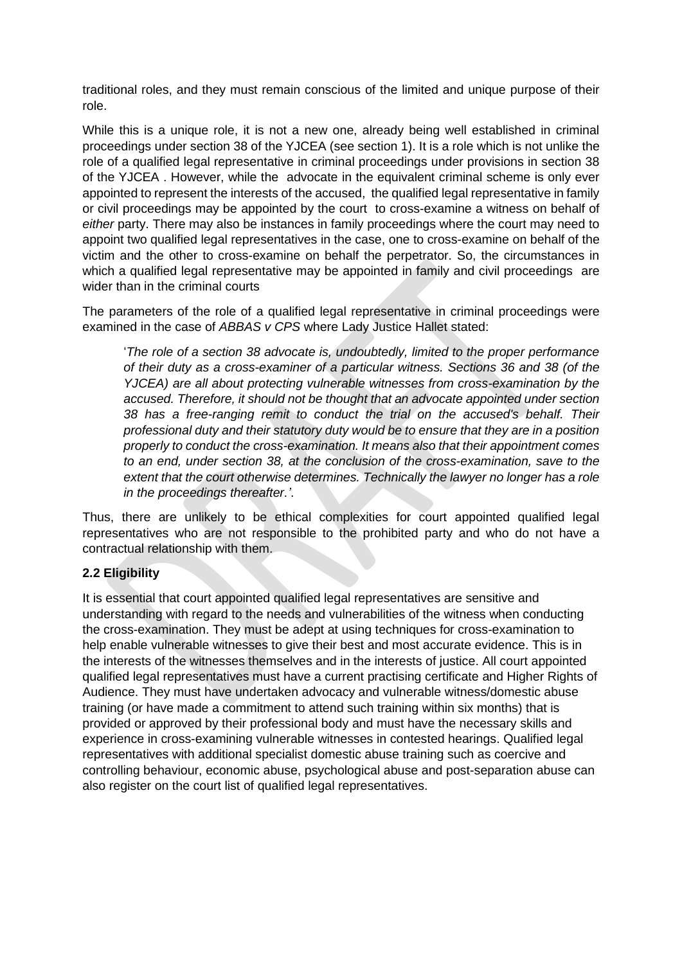traditional roles, and they must remain conscious of the limited and unique purpose of their role.

While this is a unique role, it is not a new one, already being well established in criminal proceedings under section 38 of the YJCEA (see section 1). It is a role which is not unlike the role of a qualified legal representative in criminal proceedings under provisions in section 38 of the YJCEA . However, while the advocate in the equivalent criminal scheme is only ever appointed to represent the interests of the accused, the qualified legal representative in family or civil proceedings may be appointed by the court to cross-examine a witness on behalf of *either* party. There may also be instances in family proceedings where the court may need to appoint two qualified legal representatives in the case, one to cross-examine on behalf of the victim and the other to cross-examine on behalf the perpetrator. So, the circumstances in which a qualified legal representative may be appointed in family and civil proceedings are wider than in the criminal courts

The parameters of the role of a qualified legal representative in criminal proceedings were examined in the case of *ABBAS v CPS* where Lady Justice Hallet stated:

'*The role of a section 38 advocate is, undoubtedly, limited to the proper performance of their duty as a cross-examiner of a particular witness. Sections 36 and 38 (of the YJCEA) are all about protecting vulnerable witnesses from cross-examination by the accused. Therefore, it should not be thought that an advocate appointed under section 38 has a free-ranging remit to conduct the trial on the accused's behalf. Their professional duty and their statutory duty would be to ensure that they are in a position properly to conduct the cross-examination. It means also that their appointment comes to an end, under section 38, at the conclusion of the cross-examination, save to the extent that the court otherwise determines. Technically the lawyer no longer has a role in the proceedings thereafter.'*.

Thus, there are unlikely to be ethical complexities for court appointed qualified legal representatives who are not responsible to the prohibited party and who do not have a contractual relationship with them.

#### **2.2 Eligibility**

It is essential that court appointed qualified legal representatives are sensitive and understanding with regard to the needs and vulnerabilities of the witness when conducting the cross-examination. They must be adept at using techniques for cross-examination to help enable vulnerable witnesses to give their best and most accurate evidence. This is in the interests of the witnesses themselves and in the interests of justice. All court appointed qualified legal representatives must have a current practising certificate and Higher Rights of Audience. They must have undertaken advocacy and vulnerable witness/domestic abuse training (or have made a commitment to attend such training within six months) that is provided or approved by their professional body and must have the necessary skills and experience in cross-examining vulnerable witnesses in contested hearings. Qualified legal representatives with additional specialist domestic abuse training such as coercive and controlling behaviour, economic abuse, psychological abuse and post-separation abuse can also register on the court list of qualified legal representatives.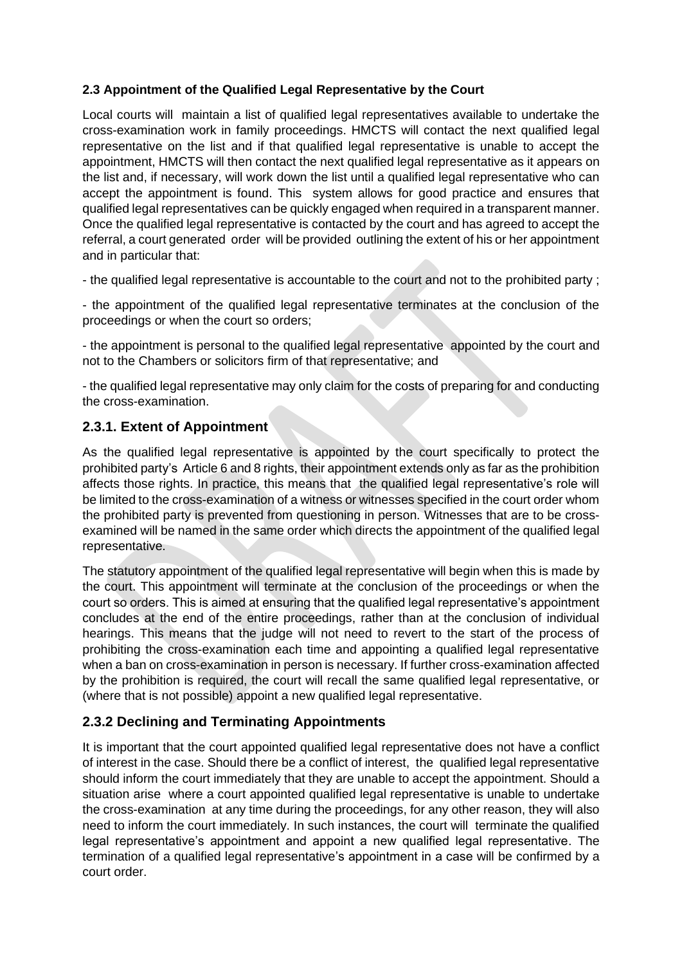#### **2.3 Appointment of the Qualified Legal Representative by the Court**

Local courts will maintain a list of qualified legal representatives available to undertake the cross-examination work in family proceedings. HMCTS will contact the next qualified legal representative on the list and if that qualified legal representative is unable to accept the appointment, HMCTS will then contact the next qualified legal representative as it appears on the list and, if necessary, will work down the list until a qualified legal representative who can accept the appointment is found. This system allows for good practice and ensures that qualified legal representatives can be quickly engaged when required in a transparent manner. Once the qualified legal representative is contacted by the court and has agreed to accept the referral, a court generated order will be provided outlining the extent of his or her appointment and in particular that:

- the qualified legal representative is accountable to the court and not to the prohibited party ;

- the appointment of the qualified legal representative terminates at the conclusion of the proceedings or when the court so orders;

- the appointment is personal to the qualified legal representative appointed by the court and not to the Chambers or solicitors firm of that representative; and

- the qualified legal representative may only claim for the costs of preparing for and conducting the cross-examination.

### **2.3.1. Extent of Appointment**

As the qualified legal representative is appointed by the court specifically to protect the prohibited party's Article 6 and 8 rights, their appointment extends only as far as the prohibition affects those rights. In practice, this means that the qualified legal representative's role will be limited to the cross-examination of a witness or witnesses specified in the court order whom the prohibited party is prevented from questioning in person. Witnesses that are to be crossexamined will be named in the same order which directs the appointment of the qualified legal representative.

The statutory appointment of the qualified legal representative will begin when this is made by the court. This appointment will terminate at the conclusion of the proceedings or when the court so orders. This is aimed at ensuring that the qualified legal representative's appointment concludes at the end of the entire proceedings, rather than at the conclusion of individual hearings. This means that the judge will not need to revert to the start of the process of prohibiting the cross-examination each time and appointing a qualified legal representative when a ban on cross-examination in person is necessary. If further cross-examination affected by the prohibition is required, the court will recall the same qualified legal representative, or (where that is not possible) appoint a new qualified legal representative.

# **2.3.2 Declining and Terminating Appointments**

It is important that the court appointed qualified legal representative does not have a conflict of interest in the case. Should there be a conflict of interest, the qualified legal representative should inform the court immediately that they are unable to accept the appointment. Should a situation arise where a court appointed qualified legal representative is unable to undertake the cross-examination at any time during the proceedings, for any other reason, they will also need to inform the court immediately. In such instances, the court will terminate the qualified legal representative's appointment and appoint a new qualified legal representative. The termination of a qualified legal representative's appointment in a case will be confirmed by a court order.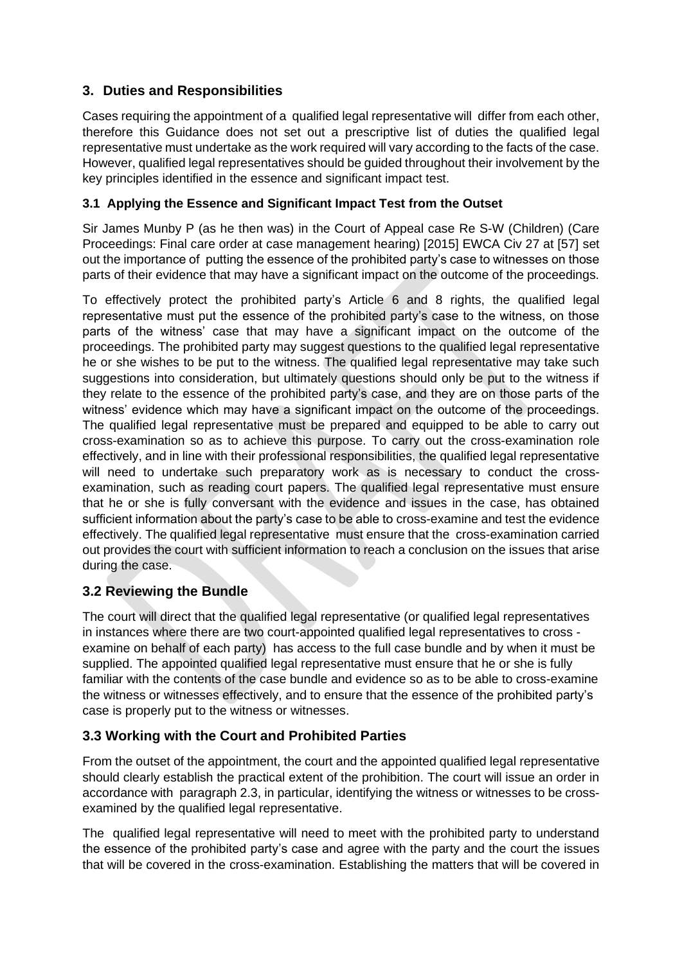# **3. Duties and Responsibilities**

Cases requiring the appointment of a qualified legal representative will differ from each other, therefore this Guidance does not set out a prescriptive list of duties the qualified legal representative must undertake as the work required will vary according to the facts of the case. However, qualified legal representatives should be guided throughout their involvement by the key principles identified in the essence and significant impact test.

### **3.1 Applying the Essence and Significant Impact Test from the Outset**

Sir James Munby P (as he then was) in the Court of Appeal case Re S-W (Children) (Care Proceedings: Final care order at case management hearing) [2015] EWCA Civ 27 at [57] set out the importance of putting the essence of the prohibited party's case to witnesses on those parts of their evidence that may have a significant impact on the outcome of the proceedings.

To effectively protect the prohibited party's Article 6 and 8 rights, the qualified legal representative must put the essence of the prohibited party's case to the witness, on those parts of the witness' case that may have a significant impact on the outcome of the proceedings. The prohibited party may suggest questions to the qualified legal representative he or she wishes to be put to the witness. The qualified legal representative may take such suggestions into consideration, but ultimately questions should only be put to the witness if they relate to the essence of the prohibited party's case, and they are on those parts of the witness' evidence which may have a significant impact on the outcome of the proceedings. The qualified legal representative must be prepared and equipped to be able to carry out cross-examination so as to achieve this purpose. To carry out the cross-examination role effectively, and in line with their professional responsibilities, the qualified legal representative will need to undertake such preparatory work as is necessary to conduct the crossexamination, such as reading court papers. The qualified legal representative must ensure that he or she is fully conversant with the evidence and issues in the case, has obtained sufficient information about the party's case to be able to cross-examine and test the evidence effectively. The qualified legal representative must ensure that the cross-examination carried out provides the court with sufficient information to reach a conclusion on the issues that arise during the case.

# **3.2 Reviewing the Bundle**

The court will direct that the qualified legal representative (or qualified legal representatives in instances where there are two court-appointed qualified legal representatives to cross examine on behalf of each party) has access to the full case bundle and by when it must be supplied. The appointed qualified legal representative must ensure that he or she is fully familiar with the contents of the case bundle and evidence so as to be able to cross-examine the witness or witnesses effectively, and to ensure that the essence of the prohibited party's case is properly put to the witness or witnesses.

# **3.3 Working with the Court and Prohibited Parties**

From the outset of the appointment, the court and the appointed qualified legal representative should clearly establish the practical extent of the prohibition. The court will issue an order in accordance with paragraph 2.3, in particular, identifying the witness or witnesses to be crossexamined by the qualified legal representative.

The qualified legal representative will need to meet with the prohibited party to understand the essence of the prohibited party's case and agree with the party and the court the issues that will be covered in the cross-examination. Establishing the matters that will be covered in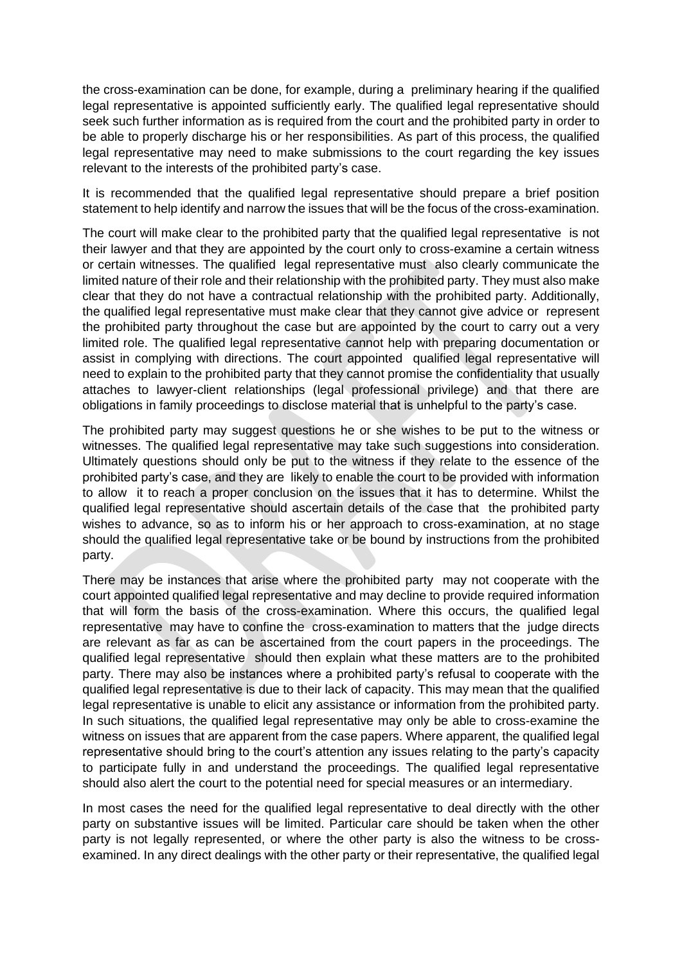the cross-examination can be done, for example, during a preliminary hearing if the qualified legal representative is appointed sufficiently early. The qualified legal representative should seek such further information as is required from the court and the prohibited party in order to be able to properly discharge his or her responsibilities. As part of this process, the qualified legal representative may need to make submissions to the court regarding the key issues relevant to the interests of the prohibited party's case.

It is recommended that the qualified legal representative should prepare a brief position statement to help identify and narrow the issues that will be the focus of the cross-examination.

The court will make clear to the prohibited party that the qualified legal representative is not their lawyer and that they are appointed by the court only to cross-examine a certain witness or certain witnesses. The qualified legal representative must also clearly communicate the limited nature of their role and their relationship with the prohibited party. They must also make clear that they do not have a contractual relationship with the prohibited party. Additionally, the qualified legal representative must make clear that they cannot give advice or represent the prohibited party throughout the case but are appointed by the court to carry out a very limited role. The qualified legal representative cannot help with preparing documentation or assist in complying with directions. The court appointed qualified legal representative will need to explain to the prohibited party that they cannot promise the confidentiality that usually attaches to lawyer-client relationships (legal professional privilege) and that there are obligations in family proceedings to disclose material that is unhelpful to the party's case.

The prohibited party may suggest questions he or she wishes to be put to the witness or witnesses. The qualified legal representative may take such suggestions into consideration. Ultimately questions should only be put to the witness if they relate to the essence of the prohibited party's case, and they are likely to enable the court to be provided with information to allow it to reach a proper conclusion on the issues that it has to determine. Whilst the qualified legal representative should ascertain details of the case that the prohibited party wishes to advance, so as to inform his or her approach to cross-examination, at no stage should the qualified legal representative take or be bound by instructions from the prohibited party.

There may be instances that arise where the prohibited party may not cooperate with the court appointed qualified legal representative and may decline to provide required information that will form the basis of the cross-examination. Where this occurs, the qualified legal representative may have to confine the cross-examination to matters that the judge directs are relevant as far as can be ascertained from the court papers in the proceedings. The qualified legal representative should then explain what these matters are to the prohibited party. There may also be instances where a prohibited party's refusal to cooperate with the qualified legal representative is due to their lack of capacity. This may mean that the qualified legal representative is unable to elicit any assistance or information from the prohibited party. In such situations, the qualified legal representative may only be able to cross-examine the witness on issues that are apparent from the case papers. Where apparent, the qualified legal representative should bring to the court's attention any issues relating to the party's capacity to participate fully in and understand the proceedings. The qualified legal representative should also alert the court to the potential need for special measures or an intermediary.

In most cases the need for the qualified legal representative to deal directly with the other party on substantive issues will be limited. Particular care should be taken when the other party is not legally represented, or where the other party is also the witness to be crossexamined. In any direct dealings with the other party or their representative, the qualified legal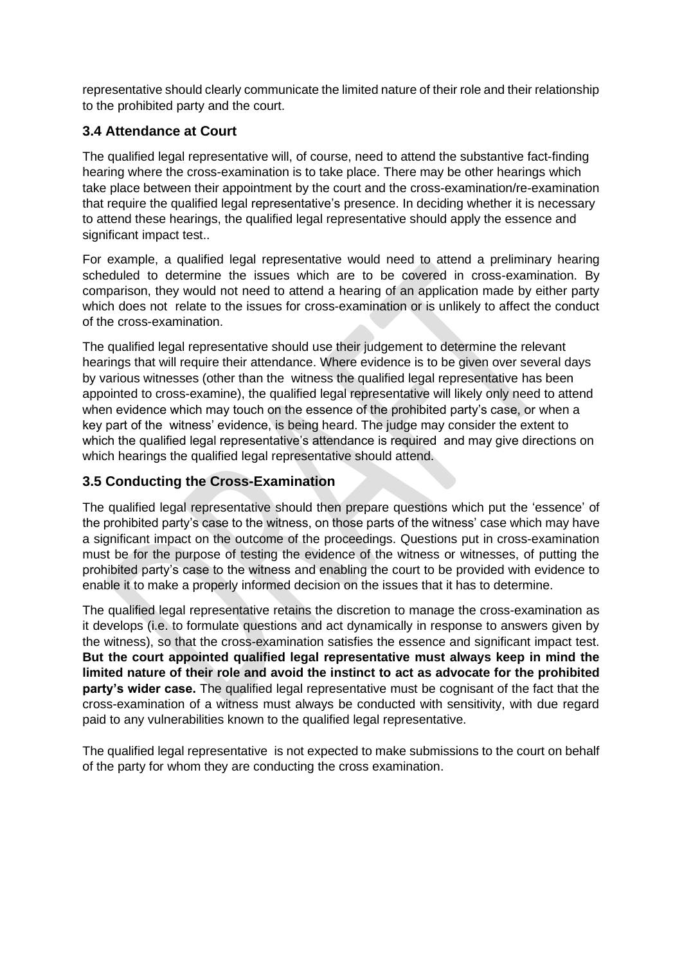representative should clearly communicate the limited nature of their role and their relationship to the prohibited party and the court.

## **3.4 Attendance at Court**

The qualified legal representative will, of course, need to attend the substantive fact-finding hearing where the cross-examination is to take place. There may be other hearings which take place between their appointment by the court and the cross-examination/re-examination that require the qualified legal representative's presence. In deciding whether it is necessary to attend these hearings, the qualified legal representative should apply the essence and significant impact test..

For example, a qualified legal representative would need to attend a preliminary hearing scheduled to determine the issues which are to be covered in cross-examination. By comparison, they would not need to attend a hearing of an application made by either party which does not relate to the issues for cross-examination or is unlikely to affect the conduct of the cross-examination.

The qualified legal representative should use their judgement to determine the relevant hearings that will require their attendance. Where evidence is to be given over several days by various witnesses (other than the witness the qualified legal representative has been appointed to cross-examine), the qualified legal representative will likely only need to attend when evidence which may touch on the essence of the prohibited party's case, or when a key part of the witness' evidence, is being heard. The judge may consider the extent to which the qualified legal representative's attendance is required and may give directions on which hearings the qualified legal representative should attend.

### **3.5 Conducting the Cross-Examination**

The qualified legal representative should then prepare questions which put the 'essence' of the prohibited party's case to the witness, on those parts of the witness' case which may have a significant impact on the outcome of the proceedings. Questions put in cross-examination must be for the purpose of testing the evidence of the witness or witnesses, of putting the prohibited party's case to the witness and enabling the court to be provided with evidence to enable it to make a properly informed decision on the issues that it has to determine.

The qualified legal representative retains the discretion to manage the cross-examination as it develops (i.e. to formulate questions and act dynamically in response to answers given by the witness), so that the cross-examination satisfies the essence and significant impact test. **But the court appointed qualified legal representative must always keep in mind the limited nature of their role and avoid the instinct to act as advocate for the prohibited party's wider case.** The qualified legal representative must be cognisant of the fact that the cross-examination of a witness must always be conducted with sensitivity, with due regard paid to any vulnerabilities known to the qualified legal representative.

The qualified legal representative is not expected to make submissions to the court on behalf of the party for whom they are conducting the cross examination.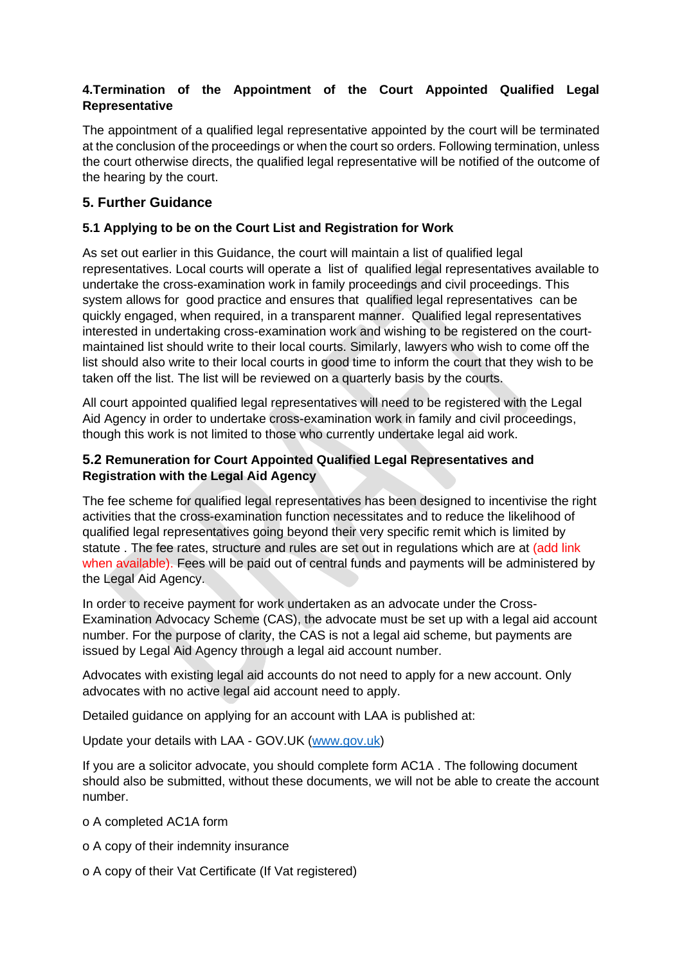### **4.Termination of the Appointment of the Court Appointed Qualified Legal Representative**

The appointment of a qualified legal representative appointed by the court will be terminated at the conclusion of the proceedings or when the court so orders. Following termination, unless the court otherwise directs, the qualified legal representative will be notified of the outcome of the hearing by the court.

## **5. Further Guidance**

#### **5.1 Applying to be on the Court List and Registration for Work**

As set out earlier in this Guidance, the court will maintain a list of qualified legal representatives. Local courts will operate a list of qualified legal representatives available to undertake the cross-examination work in family proceedings and civil proceedings. This system allows for good practice and ensures that qualified legal representatives can be quickly engaged, when required, in a transparent manner. Qualified legal representatives interested in undertaking cross-examination work and wishing to be registered on the courtmaintained list should write to their local courts. Similarly, lawyers who wish to come off the list should also write to their local courts in good time to inform the court that they wish to be taken off the list. The list will be reviewed on a quarterly basis by the courts.

All court appointed qualified legal representatives will need to be registered with the Legal Aid Agency in order to undertake cross-examination work in family and civil proceedings, though this work is not limited to those who currently undertake legal aid work.

#### **5.2 Remuneration for Court Appointed Qualified Legal Representatives and Registration with the Legal Aid Agency**

The fee scheme for qualified legal representatives has been designed to incentivise the right activities that the cross-examination function necessitates and to reduce the likelihood of qualified legal representatives going beyond their very specific remit which is limited by statute . The fee rates, structure and rules are set out in regulations which are at (add link when available). Fees will be paid out of central funds and payments will be administered by the Legal Aid Agency.

In order to receive payment for work undertaken as an advocate under the Cross-Examination Advocacy Scheme (CAS), the advocate must be set up with a legal aid account number. For the purpose of clarity, the CAS is not a legal aid scheme, but payments are issued by Legal Aid Agency through a legal aid account number.

Advocates with existing legal aid accounts do not need to apply for a new account. Only advocates with no active legal aid account need to apply.

Detailed guidance on applying for an account with LAA is published at:

Update your details with LAA - GOV.UK [\(www.gov.uk\)](http://www.gov.uk/)

If you are a solicitor advocate, you should complete form AC1A . The following document should also be submitted, without these documents, we will not be able to create the account number.

o A completed AC1A form

- o A copy of their indemnity insurance
- o A copy of their Vat Certificate (If Vat registered)